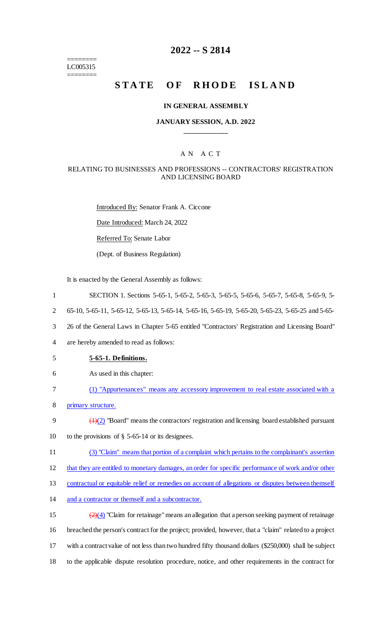======== LC005315 ========

## **2022 -- S 2814**

# **STATE OF RHODE ISLAND**

#### **IN GENERAL ASSEMBLY**

#### **JANUARY SESSION, A.D. 2022 \_\_\_\_\_\_\_\_\_\_\_\_**

#### A N A C T

#### RELATING TO BUSINESSES AND PROFESSIONS -- CONTRACTORS' REGISTRATION AND LICENSING BOARD

Introduced By: Senator Frank A. Ciccone

Date Introduced: March 24, 2022

Referred To: Senate Labor

(Dept. of Business Regulation)

It is enacted by the General Assembly as follows:

- 1 SECTION 1. Sections 5-65-1, 5-65-2, 5-65-3, 5-65-5, 5-65-6, 5-65-7, 5-65-8, 5-65-9, 5-
- 2 65-10, 5-65-11, 5-65-12, 5-65-13, 5-65-14, 5-65-16, 5-65-19, 5-65-20, 5-65-23, 5-65-25 and 5-65-
- 3 26 of the General Laws in Chapter 5-65 entitled "Contractors' Registration and Licensing Board"
- 4 are hereby amended to read as follows:
- 5 **5-65-1. Definitions.**
- 6 As used in this chapter:
- 7 (1) "Appurtenances" means any accessory improvement to real estate associated with a
- 8 primary structure.
- 9  $\left(\frac{1}{2}\right)$  "Board" means the contractors' registration and licensing board established pursuant 10 to the provisions of § 5-65-14 or its designees.
- 11 (3) "Claim" means that portion of a complaint which pertains to the complainant's assertion
- 12 that they are entitled to monetary damages, an order for specific performance of work and/or other

13 contractual or equitable relief or remedies on account of allegations or disputes between themself

- 14 and a contractor or themself and a subcontractor.
- 15  $\left(\frac{2}{4}\right)$  "Claim for retainage" means an allegation that a person seeking payment of retainage 16 breached the person's contract for the project; provided, however, that a "claim" related to a project 17 with a contract value of not less than two hundred fifty thousand dollars (\$250,000) shall be subject 18 to the applicable dispute resolution procedure, notice, and other requirements in the contract for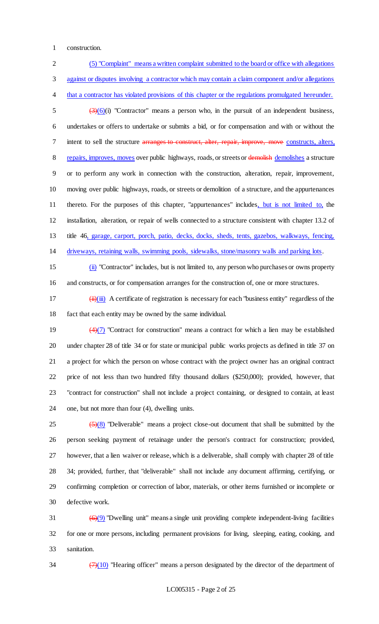construction.

 (5) "Complaint" means a written complaint submitted to the board or office with allegations against or disputes involving a contractor which may contain a claim component and/or allegations that a contractor has violated provisions of this chapter or the regulations promulgated hereunder.  $\frac{3}{5}$  (3)(6)(i) "Contractor" means a person who, in the pursuit of an independent business, undertakes or offers to undertake or submits a bid, or for compensation and with or without the 7 intent to sell the structure arranges to construct, alter, repair, improve, move constructs, alters, 8 repairs, improves, moves over public highways, roads, or streets or demolished demolishes a structure or to perform any work in connection with the construction, alteration, repair, improvement, moving over public highways, roads, or streets or demolition of a structure, and the appurtenances thereto. For the purposes of this chapter, "appurtenances" includes, but is not limited to, the installation, alteration, or repair of wells connected to a structure consistent with chapter 13.2 of title 46, garage, carport, porch, patio, decks, docks, sheds, tents, gazebos, walkways, fencing, driveways, retaining walls, swimming pools, sidewalks, stone/masonry walls and parking lots.

 (ii) "Contractor" includes, but is not limited to, any person who purchases or owns property and constructs, or for compensation arranges for the construction of, one or more structures.

17  $(iii)(iii)$  A certificate of registration is necessary for each "business entity" regardless of the fact that each entity may be owned by the same individual.

 $\left(\frac{4}{7}\right)$  "Contract for construction" means a contract for which a lien may be established under chapter 28 of title 34 or for state or municipal public works projects as defined in title 37 on a project for which the person on whose contract with the project owner has an original contract price of not less than two hundred fifty thousand dollars (\$250,000); provided, however, that "contract for construction" shall not include a project containing, or designed to contain, at least one, but not more than four (4), dwelling units.

  $\left(5\right)\left(8\right)$  "Deliverable" means a project close-out document that shall be submitted by the person seeking payment of retainage under the person's contract for construction; provided, however, that a lien waiver or release, which is a deliverable, shall comply with chapter 28 of title 34; provided, further, that "deliverable" shall not include any document affirming, certifying, or confirming completion or correction of labor, materials, or other items furnished or incomplete or defective work.

31  $(6)(9)$  "Dwelling unit" means a single unit providing complete independent-living facilities for one or more persons, including permanent provisions for living, sleeping, eating, cooking, and sanitation.

 $\frac{(7)(10)}{7}$  "Hearing officer" means a person designated by the director of the department of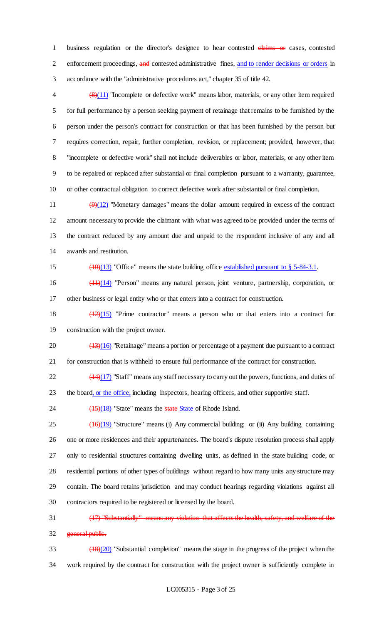1 business regulation or the director's designee to hear contested claims or cases, contested 2 enforcement proceedings, and contested administrative fines, and to render decisions or orders in accordance with the "administrative procedures act," chapter 35 of title 42.

 $\left\langle \frac{8}{11} \right\rangle$  "Incomplete or defective work" means labor, materials, or any other item required for full performance by a person seeking payment of retainage that remains to be furnished by the person under the person's contract for construction or that has been furnished by the person but requires correction, repair, further completion, revision, or replacement; provided, however, that "incomplete or defective work" shall not include deliverables or labor, materials, or any other item to be repaired or replaced after substantial or final completion pursuant to a warranty, guarantee, or other contractual obligation to correct defective work after substantial or final completion.

 $\left(\frac{9}{12}\right)$  "Monetary damages" means the dollar amount required in excess of the contract amount necessary to provide the claimant with what was agreed to be provided under the terms of the contract reduced by any amount due and unpaid to the respondent inclusive of any and all awards and restitution.

15 ()(13) "Office" means the state building office established pursuant to § 5-84-3.1.

 (11)(14) "Person" means any natural person, joint venture, partnership, corporation, or other business or legal entity who or that enters into a contract for construction.

 (12)(15) "Prime contractor" means a person who or that enters into a contract for construction with the project owner.

 $20 \left( \frac{(13)(16)}{2} \right)$  "Retainage" means a portion or percentage of a payment due pursuant to a contract for construction that is withheld to ensure full performance of the contract for construction.

 $\frac{(14)(17)}{22}$  "Staff" means any staff necessary to carry out the powers, functions, and duties of 23 the board, or the office, including inspectors, hearing officers, and other supportive staff.

24  $\sqrt{(15)(18)}$  "State" means the state State of Rhode Island.

  $(16)(19)$  "Structure" means (i) Any commercial building; or (ii) Any building containing one or more residences and their appurtenances. The board's dispute resolution process shall apply only to residential structures containing dwelling units, as defined in the state building code, or residential portions of other types of buildings without regard to how many units any structure may contain. The board retains jurisdiction and may conduct hearings regarding violations against all contractors required to be registered or licensed by the board.

 (17) "Substantially" means any violation that affects the health, safety, and welfare of the 32 general public.

 (18)(20) "Substantial completion" means the stage in the progress of the project when the work required by the contract for construction with the project owner is sufficiently complete in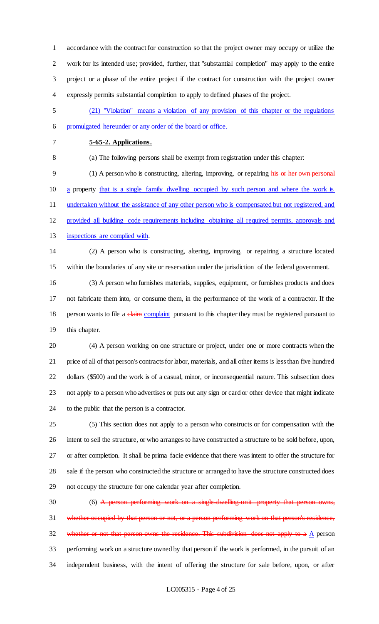accordance with the contract for construction so that the project owner may occupy or utilize the work for its intended use; provided, further, that "substantial completion" may apply to the entire project or a phase of the entire project if the contract for construction with the project owner expressly permits substantial completion to apply to defined phases of the project.

- (21) "Violation" means a violation of any provision of this chapter or the regulations promulgated hereunder or any order of the board or office.
- 

### **5-65-2. Applications.**

(a) The following persons shall be exempt from registration under this chapter:

9 (1) A person who is constructing, altering, improving, or repairing his or her own personal a property that is a single family dwelling occupied by such person and where the work is 11 undertaken without the assistance of any other person who is compensated but not registered, and provided all building code requirements including obtaining all required permits, approvals and inspections are complied with.

 (2) A person who is constructing, altering, improving, or repairing a structure located within the boundaries of any site or reservation under the jurisdiction of the federal government.

 (3) A person who furnishes materials, supplies, equipment, or furnishes products and does not fabricate them into, or consume them, in the performance of the work of a contractor. If the 18 person wants to file a claim complaint pursuant to this chapter they must be registered pursuant to this chapter.

 (4) A person working on one structure or project, under one or more contracts when the price of all of that person's contracts for labor, materials, and all other items is less than five hundred dollars (\$500) and the work is of a casual, minor, or inconsequential nature. This subsection does not apply to a person who advertises or puts out any sign or card or other device that might indicate to the public that the person is a contractor.

 (5) This section does not apply to a person who constructs or for compensation with the intent to sell the structure, or who arranges to have constructed a structure to be sold before, upon, or after completion. It shall be prima facie evidence that there was intent to offer the structure for sale if the person who constructed the structure or arranged to have the structure constructed does not occupy the structure for one calendar year after completion.

30 (6) A person performing work on a single-dwelling-unit property that person owns, whether occupied by that person or not, or a person performing work on that person's residence, 32 whether or not that person owns the residence. This subdivision does not apply to a  $\underline{A}$  person performing work on a structure owned by that person if the work is performed, in the pursuit of an independent business, with the intent of offering the structure for sale before, upon, or after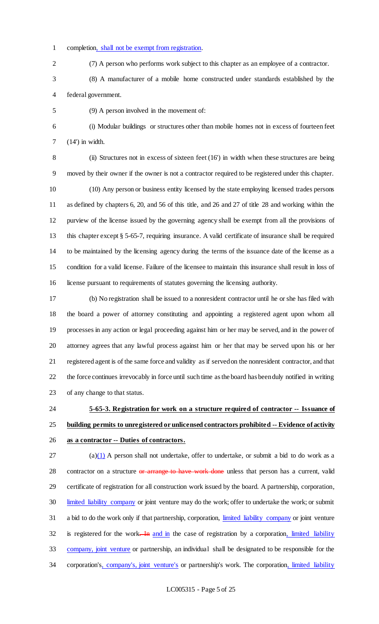- completion, shall not be exempt from registration.
- (7) A person who performs work subject to this chapter as an employee of a contractor.
- (8) A manufacturer of a mobile home constructed under standards established by the federal government.
- (9) A person involved in the movement of:

 (i) Modular buildings or structures other than mobile homes not in excess of fourteen feet (14') in width.

 (ii) Structures not in excess of sixteen feet (16') in width when these structures are being moved by their owner if the owner is not a contractor required to be registered under this chapter. (10) Any person or business entity licensed by the state employing licensed trades persons as defined by chapters 6, 20, and 56 of this title, and 26 and 27 of title 28 and working within the purview of the license issued by the governing agency shall be exempt from all the provisions of this chapter except § 5-65-7, requiring insurance. A valid certificate of insurance shall be required to be maintained by the licensing agency during the terms of the issuance date of the license as a condition for a valid license. Failure of the licensee to maintain this insurance shall result in loss of license pursuant to requirements of statutes governing the licensing authority.

 (b) No registration shall be issued to a nonresident contractor until he or she has filed with the board a power of attorney constituting and appointing a registered agent upon whom all processes in any action or legal proceeding against him or her may be served, and in the power of attorney agrees that any lawful process against him or her that may be served upon his or her registered agent is of the same force and validity as if served on the nonresident contractor, and that the force continues irrevocably in force until such time as the board has been duly notified in writing of any change to that status.

# **5-65-3. Registration for work on a structure required of contractor -- Issuance of building permits to unregistered or unlicensed contractors prohibited -- Evidence of activity as a contractor -- Duties of contractors.**

 (a)(1) A person shall not undertake, offer to undertake, or submit a bid to do work as a 28 contractor on a structure or arrange to have work done unless that person has a current, valid certificate of registration for all construction work issued by the board. A partnership, corporation, limited liability company or joint venture may do the work; offer to undertake the work; or submit a bid to do the work only if that partnership, corporation, limited liability company or joint venture 32 is registered for the work. In and in the case of registration by a corporation, limited liability company, joint venture or partnership, an individual shall be designated to be responsible for the 34 corporation's, company's, joint venture's or partnership's work. The corporation, limited liability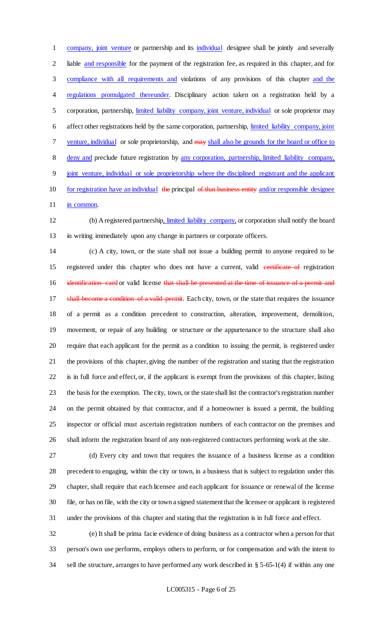company, joint venture or partnership and its individual designee shall be jointly and severally liable and responsible for the payment of the registration fee, as required in this chapter, and for compliance with all requirements and violations of any provisions of this chapter and the 4 regulations promulgated thereunder. Disciplinary action taken on a registration held by a corporation, partnership, limited liability company, joint venture, individual or sole proprietor may affect other registrations held by the same corporation, partnership, limited liability company, joint 7 venture, individual or sole proprietorship, and may shall also be grounds for the board or office to deny and preclude future registration by any corporation, partnership, limited liability company, joint venture, individual or sole proprietorship where the disciplined registrant and the applicant 10 for registration have an individual the principal of that business entity and/or responsible designee 11 in common.

 (b) A registered partnership, limited liability company, or corporation shall notify the board in writing immediately upon any change in partners or corporate officers.

 (c) A city, town, or the state shall not issue a building permit to anyone required to be 15 registered under this chapter who does not have a current, valid contributed of registration 16 identification card or valid license that shall be presented at the time of issuance of a permit and 17 shall become a condition of a valid permit. Each city, town, or the state that requires the issuance of a permit as a condition precedent to construction, alteration, improvement, demolition, movement, or repair of any building or structure or the appurtenance to the structure shall also require that each applicant for the permit as a condition to issuing the permit, is registered under the provisions of this chapter, giving the number of the registration and stating that the registration is in full force and effect, or, if the applicant is exempt from the provisions of this chapter, listing the basis for the exemption. The city, town, or the state shall list the contractor's registration number on the permit obtained by that contractor, and if a homeowner is issued a permit, the building inspector or official must ascertain registration numbers of each contractor on the premises and shall inform the registration board of any non-registered contractors performing work at the site.

 (d) Every city and town that requires the issuance of a business license as a condition precedent to engaging, within the city or town, in a business that is subject to regulation under this chapter, shall require that each licensee and each applicant for issuance or renewal of the license file, or has on file, with the city or town a signed statement that the licensee or applicant is registered under the provisions of this chapter and stating that the registration is in full force and effect.

 (e) It shall be prima facie evidence of doing business as a contractor when a person for that person's own use performs, employs others to perform, or for compensation and with the intent to sell the structure, arranges to have performed any work described in § 5-65-1(4) if within any one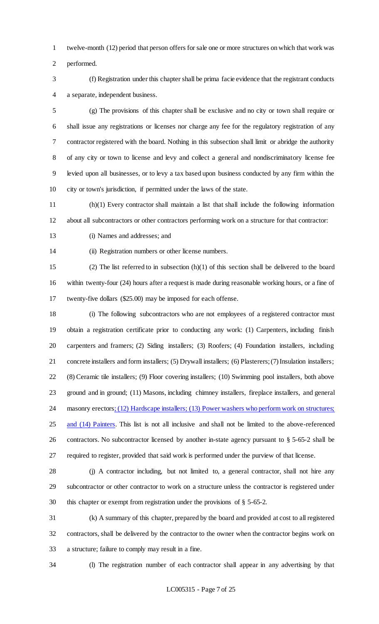twelve-month (12) period that person offers for sale one or more structures on which that work was

performed.

 (f) Registration under this chapter shall be prima facie evidence that the registrant conducts a separate, independent business.

 (g) The provisions of this chapter shall be exclusive and no city or town shall require or shall issue any registrations or licenses nor charge any fee for the regulatory registration of any contractor registered with the board. Nothing in this subsection shall limit or abridge the authority of any city or town to license and levy and collect a general and nondiscriminatory license fee levied upon all businesses, or to levy a tax based upon business conducted by any firm within the city or town's jurisdiction, if permitted under the laws of the state.

 (h)(1) Every contractor shall maintain a list that shall include the following information about all subcontractors or other contractors performing work on a structure for that contractor:

(i) Names and addresses; and

(ii) Registration numbers or other license numbers.

 (2) The list referred to in subsection (h)(1) of this section shall be delivered to the board within twenty-four (24) hours after a request is made during reasonable working hours, or a fine of twenty-five dollars (\$25.00) may be imposed for each offense.

 (i) The following subcontractors who are not employees of a registered contractor must obtain a registration certificate prior to conducting any work: (1) Carpenters, including finish carpenters and framers; (2) Siding installers; (3) Roofers; (4) Foundation installers, including concrete installers and form installers; (5) Drywall installers; (6) Plasterers; (7) Insulation installers; (8) Ceramic tile installers; (9) Floor covering installers; (10) Swimming pool installers, both above ground and in ground; (11) Masons, including chimney installers, fireplace installers, and general 24 masonry erectors; (12) Hardscape installers; (13) Power washers who perform work on structures; and (14) Painters. This list is not all inclusive and shall not be limited to the above-referenced contractors. No subcontractor licensed by another in-state agency pursuant to § 5-65-2 shall be required to register, provided that said work is performed under the purview of that license.

 (j) A contractor including, but not limited to, a general contractor, shall not hire any subcontractor or other contractor to work on a structure unless the contractor is registered under this chapter or exempt from registration under the provisions of § 5-65-2.

 (k) A summary of this chapter, prepared by the board and provided at cost to all registered contractors, shall be delivered by the contractor to the owner when the contractor begins work on a structure; failure to comply may result in a fine.

(l) The registration number of each contractor shall appear in any advertising by that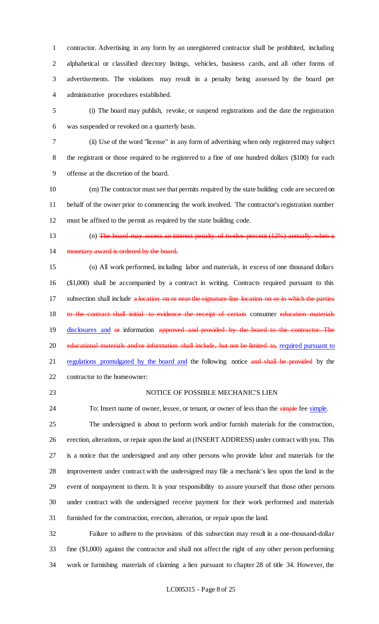contractor. Advertising in any form by an unregistered contractor shall be prohibited, including alphabetical or classified directory listings, vehicles, business cards, and all other forms of advertisements. The violations may result in a penalty being assessed by the board per administrative procedures established.

 (i) The board may publish, revoke, or suspend registrations and the date the registration was suspended or revoked on a quarterly basis.

 (ii) Use of the word "license" in any form of advertising when only registered may subject the registrant or those required to be registered to a fine of one hundred dollars (\$100) for each offense at the discretion of the board.

 (m) The contractor must see that permits required by the state building code are secured on behalf of the owner prior to commencing the work involved. The contractor's registration number must be affixed to the permit as required by the state building code.

13 (n) The board may assess an interest penalty of twelve percent (12%) annually when a 14 monetary award is ordered by the board.

 (o) All work performed, including labor and materials, in excess of one thousand dollars (\$1,000) shall be accompanied by a contract in writing. Contracts required pursuant to this 17 subsection shall include a location on or near the signature-line location on or in which the parties 18 to the contract shall initial to evidence the receipt of certain consumer education materials disclosures and or information approved and provided by the board to the contractor. The 20 educational materials and/or information shall include, but not be limited to, required pursuant to 21 regulations promulgated by the board and the following notice and shall be provided by the contractor to the homeowner:

#### NOTICE OF POSSIBLE MECHANIC'S LIEN

24 To: Insert name of owner, lessee, or tenant, or owner of less than the simple fee simple. The undersigned is about to perform work and/or furnish materials for the construction, erection, alterations, or repair upon the land at (INSERT ADDRESS) under contract with you. This is a notice that the undersigned and any other persons who provide labor and materials for the improvement under contract with the undersigned may file a mechanic's lien upon the land in the event of nonpayment to them. It is your responsibility to assure yourself that those other persons under contract with the undersigned receive payment for their work performed and materials furnished for the construction, erection, alteration, or repair upon the land.

 Failure to adhere to the provisions of this subsection may result in a one-thousand-dollar fine (\$1,000) against the contractor and shall not affect the right of any other person performing work or furnishing materials of claiming a lien pursuant to chapter 28 of title 34. However, the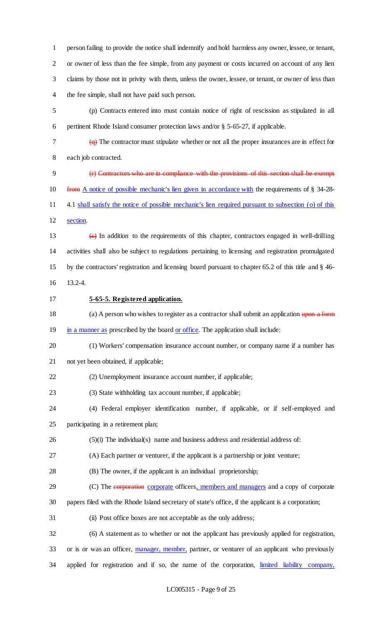person failing to provide the notice shall indemnify and hold harmless any owner, lessee, or tenant, or owner of less than the fee simple, from any payment or costs incurred on account of any lien claims by those not in privity with them, unless the owner, lessee, or tenant, or owner of less than the fee simple, shall not have paid such person.

 (p) Contracts entered into must contain notice of right of rescission as stipulated in all pertinent Rhode Island consumer protection laws and/or § 5-65-27, if applicable.

 $\frac{1}{2}$  The contractor must stipulate whether or not all the proper insurances are in effect for

each job contracted.

 (r) Contractors who are in compliance with the provisions of this section shall be exempt from A notice of possible mechanic's lien given in accordance with the requirements of § 34-28- 4.1 shall satisfy the notice of possible mechanic's lien required pursuant to subsection (o) of this section.

 (s) In addition to the requirements of this chapter, contractors engaged in well-drilling activities shall also be subject to regulations pertaining to licensing and registration promulgated by the contractors' registration and licensing board pursuant to chapter 65.2 of this title and § 46-

- 13.2-4.
- 

#### **5-65-5. Registered application.**

18 (a) A person who wishes to register as a contractor shall submit an application upon a form 19 in a manner as prescribed by the board or office. The application shall include:

 (1) Workers' compensation insurance account number, or company name if a number has not yet been obtained, if applicable;

(2) Unemployment insurance account number, if applicable;

(3) State withholding tax account number, if applicable;

 (4) Federal employer identification number, if applicable, or if self-employed and participating in a retirement plan;

(5)(i) The individual(s) name and business address and residential address of:

(A) Each partner or venturer, if the applicant is a partnership or joint venture;

(B) The owner, if the applicant is an individual proprietorship;

29 (C) The corporation corporate officers, members and managers and a copy of corporate

papers filed with the Rhode Island secretary of state's office, if the applicant is a corporation;

(ii) Post office boxes are not acceptable as the only address;

 (6) A statement as to whether or not the applicant has previously applied for registration, or is or was an officer, manager, member, partner, or venturer of an applicant who previously 34 applied for registration and if so, the name of the corporation, limited liability company,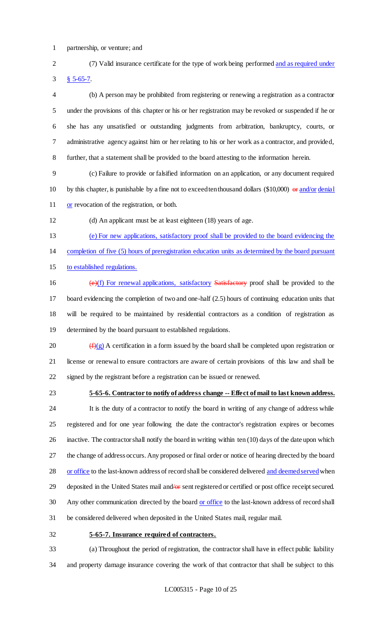partnership, or venture; and

 (7) Valid insurance certificate for the type of work being performed and as required under § 5-65-7.

 (b) A person may be prohibited from registering or renewing a registration as a contractor under the provisions of this chapter or his or her registration may be revoked or suspended if he or she has any unsatisfied or outstanding judgments from arbitration, bankruptcy, courts, or administrative agency against him or her relating to his or her work as a contractor, and provided, further, that a statement shall be provided to the board attesting to the information herein.

 (c) Failure to provide or falsified information on an application, or any document required 10 by this chapter, is punishable by a fine not to exceed ten thousand dollars (\$10,000)  $\theta$  and/or denial 11 or revocation of the registration, or both.

(d) An applicant must be at least eighteen (18) years of age.

(e) For new applications, satisfactory proof shall be provided to the board evidencing the

completion of five (5) hours of preregistration education units as determined by the board pursuant

to established regulations.

 $(e)(f)$  For renewal applications, satisfactory Satisfactory proof shall be provided to the board evidencing the completion of two and one-half (2.5) hours of continuing education units that will be required to be maintained by residential contractors as a condition of registration as determined by the board pursuant to established regulations.

20  $(f)(g)$  A certification in a form issued by the board shall be completed upon registration or license or renewal to ensure contractors are aware of certain provisions of this law and shall be signed by the registrant before a registration can be issued or renewed.

#### **5-65-6. Contractor to notify of address change -- Effect of mail to last known address.**

 It is the duty of a contractor to notify the board in writing of any change of address while registered and for one year following the date the contractor's registration expires or becomes inactive. The contractor shall notify the board in writing within ten (10) days of the date upon which the change of address occurs. Any proposed or final order or notice of hearing directed by the board 28 or office to the last-known address of record shall be considered delivered and deemed served when 29 deposited in the United States mail and/or sent registered or certified or post office receipt secured. 30 Any other communication directed by the board or office to the last-known address of record shall be considered delivered when deposited in the United States mail, regular mail.

#### **5-65-7. Insurance required of contractors.**

 (a) Throughout the period of registration, the contractor shall have in effect public liability and property damage insurance covering the work of that contractor that shall be subject to this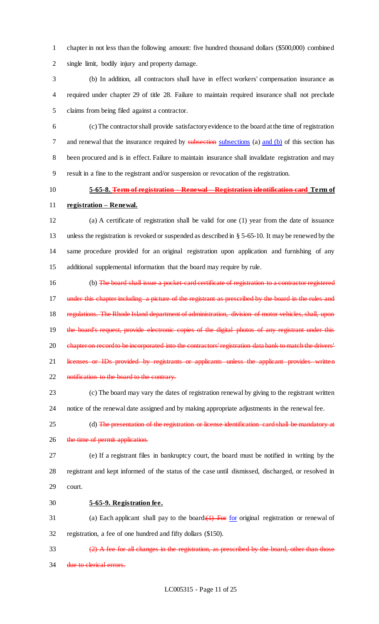chapter in not less than the following amount: five hundred thousand dollars (\$500,000) combined single limit, bodily injury and property damage.

 (b) In addition, all contractors shall have in effect workers' compensation insurance as required under chapter 29 of title 28. Failure to maintain required insurance shall not preclude claims from being filed against a contractor.

 (c) The contractor shall provide satisfactory evidence to the board at the time of registration 7 and renewal that the insurance required by subsections (a) and (b) of this section has been procured and is in effect. Failure to maintain insurance shall invalidate registration and may result in a fine to the registrant and/or suspension or revocation of the registration.

# **5-65-8. Term of registration – Renewal – Registration identification card Term of**

**registration – Renewal.**

 (a) A certificate of registration shall be valid for one (1) year from the date of issuance unless the registration is revoked or suspended as described in § 5-65-10. It may be renewed by the same procedure provided for an original registration upon application and furnishing of any additional supplemental information that the board may require by rule.

16 (b) The board shall issue a pocket-card certificate of registration to a contractor registered under this chapter including a picture of the registrant as prescribed by the board in the rules and 18 regulations. The Rhode Island department of administration, division of motor vehicles, shall, upon 19 the board's request, provide electronic copies of the digital photos of any registrant under this 20 chapter on record to be incorporated into the contractors' registration data bank to match the drivers' 21 licenses or IDs provided by registrants or applicants unless the applicant provides written 22 notification to the board to the contrary.

 (c) The board may vary the dates of registration renewal by giving to the registrant written notice of the renewal date assigned and by making appropriate adjustments in the renewal fee.

- 25 (d) The presentation of the registration or license identification card shall be mandatory at
- 26 the time of permit application.
- (e) If a registrant files in bankruptcy court, the board must be notified in writing by the registrant and kept informed of the status of the case until dismissed, discharged, or resolved in court.
- **5-65-9. Registration fee.**

31 (a) Each applicant shall pay to the board: $(1)$  For for original registration or renewal of registration, a fee of one hundred and fifty dollars (\$150).

 (2) A fee for all changes in the registration, as prescribed by the board, other than those 34 due to clerical errors.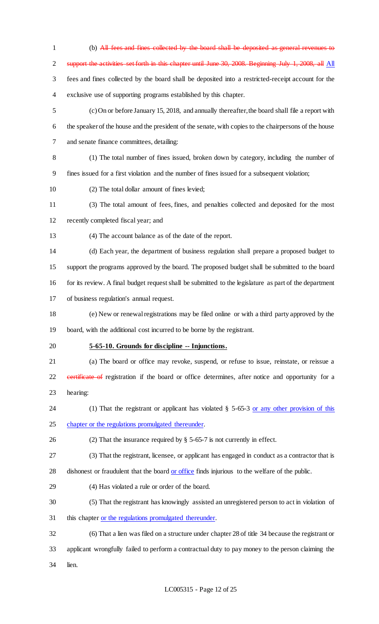(b) All fees and fines collected by the board shall be deposited as general revenues to support the activities set forth in this chapter until June 30, 2008. Beginning July 1, 2008, all All fees and fines collected by the board shall be deposited into a restricted-receipt account for the exclusive use of supporting programs established by this chapter. (c) On or before January 15, 2018, and annually thereafter, the board shall file a report with the speaker of the house and the president of the senate, with copies to the chairpersons of the house and senate finance committees, detailing: (1) The total number of fines issued, broken down by category, including the number of fines issued for a first violation and the number of fines issued for a subsequent violation; (2) The total dollar amount of fines levied; (3) The total amount of fees, fines, and penalties collected and deposited for the most recently completed fiscal year; and (4) The account balance as of the date of the report. (d) Each year, the department of business regulation shall prepare a proposed budget to support the programs approved by the board. The proposed budget shall be submitted to the board for its review. A final budget request shall be submitted to the legislature as part of the department of business regulation's annual request. (e) New or renewal registrations may be filed online or with a third party approved by the board, with the additional cost incurred to be borne by the registrant. **5-65-10. Grounds for discipline -- Injunctions.** (a) The board or office may revoke, suspend, or refuse to issue, reinstate, or reissue a 22 eertificate of registration if the board or office determines, after notice and opportunity for a hearing: 24 (1) That the registrant or applicant has violated § 5-65-3 or any other provision of this chapter or the regulations promulgated thereunder. (2) That the insurance required by § 5-65-7 is not currently in effect. (3) That the registrant, licensee, or applicant has engaged in conduct as a contractor that is 28 dishonest or fraudulent that the board or office finds injurious to the welfare of the public. (4) Has violated a rule or order of the board. (5) That the registrant has knowingly assisted an unregistered person to act in violation of this chapter or the regulations promulgated thereunder. (6) That a lien was filed on a structure under chapter 28 of title 34 because the registrant or applicant wrongfully failed to perform a contractual duty to pay money to the person claiming the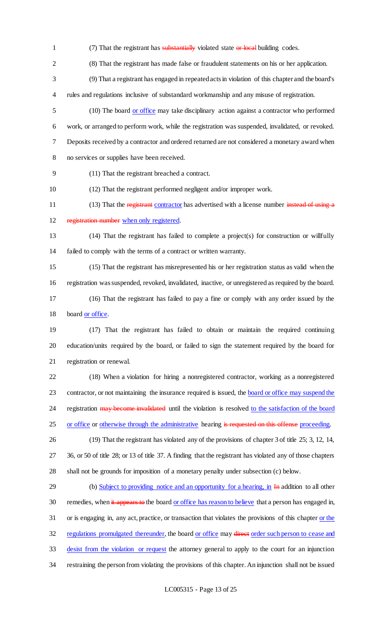- 1 (7) That the registrant has substantially violated state or local building codes.
- (8) That the registrant has made false or fraudulent statements on his or her application.
- (9) That a registrant has engaged in repeated acts in violation of this chapter and the board's rules and regulations inclusive of substandard workmanship and any misuse of registration.
- (10) The board or office may take disciplinary action against a contractor who performed work, or arranged to perform work, while the registration was suspended, invalidated, or revoked. Deposits received by a contractor and ordered returned are not considered a monetary award when no services or supplies have been received.
- (11) That the registrant breached a contract.
- (12) That the registrant performed negligent and/or improper work.
- 11 (13) That the registrant contractor has advertised with a license number instead of using a
- 12 registration number when only registered.
- (14) That the registrant has failed to complete a project(s) for construction or willfully failed to comply with the terms of a contract or written warranty.
- (15) That the registrant has misrepresented his or her registration status as valid when the registration was suspended, revoked, invalidated, inactive, or unregistered as required by the board. (16) That the registrant has failed to pay a fine or comply with any order issued by the 18 board or office.
- 
- (17) That the registrant has failed to obtain or maintain the required continuing education/units required by the board, or failed to sign the statement required by the board for registration or renewal.
- (18) When a violation for hiring a nonregistered contractor, working as a nonregistered 23 contractor, or not maintaining the insurance required is issued, the board or office may suspend the 24 registration may become invalidated until the violation is resolved to the satisfaction of the board 25 or office or otherwise through the administrative hearing is requested on this offense proceeding.
- (19) That the registrant has violated any of the provisions of chapter 3 of title 25; 3, 12, 14, 36, or 50 of title 28; or 13 of title 37. A finding that the registrant has violated any of those chapters shall not be grounds for imposition of a monetary penalty under subsection (c) below.
- 29 (b) Subject to providing notice and an opportunity for a hearing, in In addition to all other 30 remedies, when it appears to the board or office has reason to believe that a person has engaged in, or is engaging in, any act, practice, or transaction that violates the provisions of this chapter or the 32 regulations promulgated thereunder, the board or office may direct order such person to cease and desist from the violation or request the attorney general to apply to the court for an injunction restraining the person from violating the provisions of this chapter. An injunction shall not be issued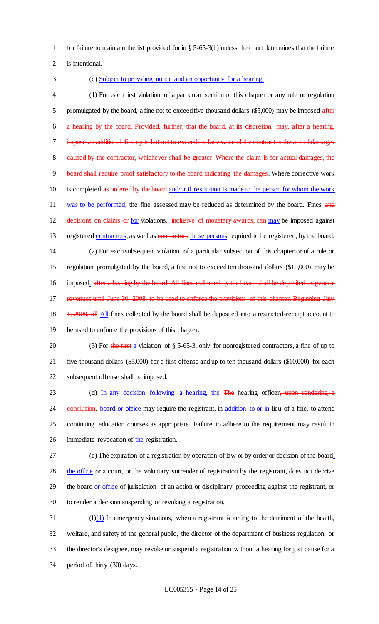1 for failure to maintain the list provided for in § 5-65-3(h) unless the court determines that the failure

2 is intentional.

#### 3 (c) Subject to providing notice and an opportunity for a hearing:

4 (1) For each first violation of a particular section of this chapter or any rule or regulation 5 promulgated by the board, a fine not to exceed five thousand dollars (\$5,000) may be imposed after 6 a hearing by the board. Provided, further, that the board, at its discretion, may, after a hearing, 7 impose an additional fine up to but not to exceed the face value of the contract or the actual damages 8 caused by the contractor, whichever shall be greater. Where the claim is for actual damages, the 9 board shall require proof satisfactory to the board indicating the damages. Where corrective work 10 is completed as ordered by the board and/or if restitution is made to the person for whom the work 11 was to be performed, the fine assessed may be reduced as determined by the board. Fines and 12 decisions on claims or for violations, inclusive of monetary awards, can may be imposed against 13 registered contractors, as well as contractors those persons required to be registered, by the board. 14 (2) For each subsequent violation of a particular subsection of this chapter or of a rule or 15 regulation promulgated by the board, a fine not to exceed ten thousand dollars (\$10,000) may be 16 imposed. after a hearing by the board. All fines collected by the board shall be deposited as general 17 revenues until June 30, 2008, to be used to enforce the provisions of this chapter. Beginning July 18 1, 2008, all All fines collected by the board shall be deposited into a restricted-receipt account to 19 be used to enforce the provisions of this chapter.

20 (3) For the first a violation of  $\S$  5-65-3, only for nonregistered contractors, a fine of up to 21 five thousand dollars (\$5,000) for a first offense and up to ten thousand dollars (\$10,000) for each 22 subsequent offense shall be imposed.

23 (d) In any decision following a hearing, the The hearing officer, upon rendering a 24 conclusion, board or office may require the registrant, in addition to or in lieu of a fine, to attend 25 continuing education courses as appropriate. Failure to adhere to the requirement may result in 26 immediate revocation of the registration.

 (e) The expiration of a registration by operation of law or by order or decision of the board, the office or a court, or the voluntary surrender of registration by the registrant, does not deprive 29 the board or office of jurisdiction of an action or disciplinary proceeding against the registrant, or to render a decision suspending or revoking a registration.

 (f)(1) In emergency situations, when a registrant is acting to the detriment of the health, welfare, and safety of the general public, the director of the department of business regulation, or the director's designee, may revoke or suspend a registration without a hearing for just cause for a period of thirty (30) days.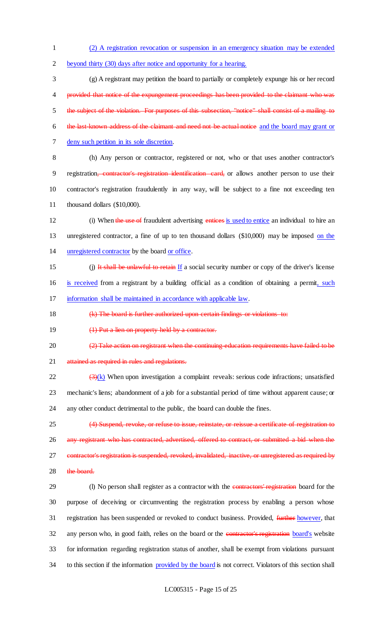1 (2) A registration revocation or suspension in an emergency situation may be extended 2 beyond thirty (30) days after notice and opportunity for a hearing.

 (g) A registrant may petition the board to partially or completely expunge his or her record provided that notice of the expungement proceedings has been provided to the claimant who was the subject of the violation. For purposes of this subsection, "notice" shall consist of a mailing to the last-known address of the claimant and need not be actual notice and the board may grant or deny such petition in its sole discretion.

 (h) Any person or contractor, registered or not, who or that uses another contractor's 9 registration, contractor's registration identification card, or allows another person to use their contractor's registration fraudulently in any way, will be subject to a fine not exceeding ten thousand dollars (\$10,000).

12 (i) When the use of fraudulent advertising entices is used to entice an individual to hire an 13 unregistered contractor, a fine of up to ten thousand dollars (\$10,000) may be imposed on the 14 unregistered contractor by the board or office.

- 15 (j) It shall be unlawful to retain If a social security number or copy of the driver's license 16 is received from a registrant by a building official as a condition of obtaining a permit, such 17 information shall be maintained in accordance with applicable law.
- 18 (k) The board is further authorized upon certain findings or violations to:
- 19 (1) Put a lien on property held by a contractor.
- 20 (2) Take action on registrant when the continuing-education requirements have failed to be
- 21 attained as required in rules and regulations.

 $\frac{3(x)}{x}$  When upon investigation a complaint reveals: serious code infractions; unsatisfied 23 mechanic's liens; abandonment of a job for a substantial period of time without apparent cause; or 24 any other conduct detrimental to the public, the board can double the fines.

25 (4) Suspend, revoke, or refuse to issue, reinstate, or reissue a certificate of registration to 26 any registrant who has contracted, advertised, offered to contract, or submitted a bid when the 27 contractor's registration is suspended, revoked, invalidated, inactive, or unregistered as required by 28 the board.

29 (I) No person shall register as a contractor with the contractors' registration board for the 30 purpose of deceiving or circumventing the registration process by enabling a person whose 31 registration has been suspended or revoked to conduct business. Provided, further however, that 32 any person who, in good faith, relies on the board or the contractor's registration board's website 33 for information regarding registration status of another, shall be exempt from violations pursuant 34 to this section if the information provided by the board is not correct. Violators of this section shall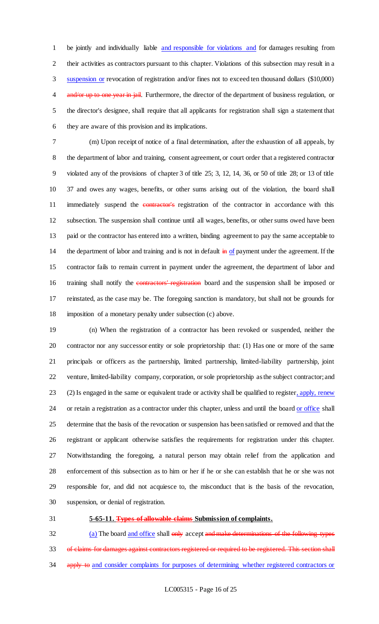be jointly and individually liable and responsible for violations and for damages resulting from their activities as contractors pursuant to this chapter. Violations of this subsection may result in a suspension or revocation of registration and/or fines not to exceed ten thousand dollars (\$10,000) 4 and/or up to one year in jail. Furthermore, the director of the department of business regulation, or the director's designee, shall require that all applicants for registration shall sign a statement that they are aware of this provision and its implications.

 (m) Upon receipt of notice of a final determination, after the exhaustion of all appeals, by the department of labor and training, consent agreement, or court order that a registered contractor violated any of the provisions of chapter 3 of title 25; 3, 12, 14, 36, or 50 of title 28; or 13 of title 37 and owes any wages, benefits, or other sums arising out of the violation, the board shall 11 immediately suspend the **contractor's** registration of the contractor in accordance with this subsection. The suspension shall continue until all wages, benefits, or other sums owed have been paid or the contractor has entered into a written, binding agreement to pay the same acceptable to 14 the department of labor and training and is not in default  $\frac{1}{10}$  of payment under the agreement. If the contractor fails to remain current in payment under the agreement, the department of labor and 16 training shall notify the contractors' registration board and the suspension shall be imposed or reinstated, as the case may be. The foregoing sanction is mandatory, but shall not be grounds for imposition of a monetary penalty under subsection (c) above.

 (n) When the registration of a contractor has been revoked or suspended, neither the contractor nor any successor entity or sole proprietorship that: (1) Has one or more of the same principals or officers as the partnership, limited partnership, limited-liability partnership, joint venture, limited-liability company, corporation, or sole proprietorship as the subject contractor; and 23 (2) Is engaged in the same or equivalent trade or activity shall be qualified to register, apply, renew 24 or retain a registration as a contractor under this chapter, unless and until the board or office shall determine that the basis of the revocation or suspension has been satisfied or removed and that the registrant or applicant otherwise satisfies the requirements for registration under this chapter. Notwithstanding the foregoing, a natural person may obtain relief from the application and enforcement of this subsection as to him or her if he or she can establish that he or she was not responsible for, and did not acquiesce to, the misconduct that is the basis of the revocation, suspension, or denial of registration.

#### **5-65-11. Types of allowable claims Submission of complaints.**

32 (a) The board and office shall only accept and make determinations of the following types 33 of claims for damages against contractors registered or required to be registered. This section shall 34 apply to and consider complaints for purposes of determining whether registered contractors or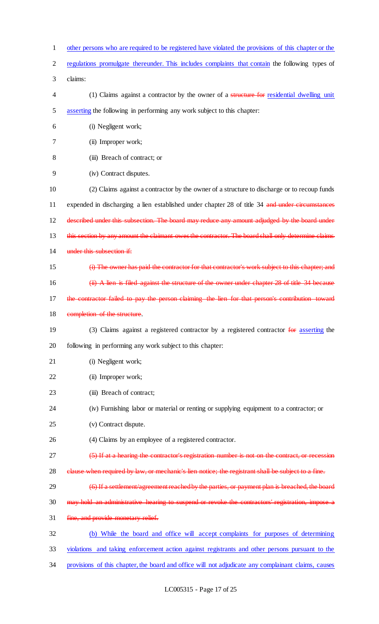- 1 other persons who are required to be registered have violated the provisions of this chapter or the
- 2 regulations promulgate thereunder. This includes complaints that contain the following types of
- 3 claims:
- 4 (1) Claims against a contractor by the owner of a structure for residential dwelling unit 5 asserting the following in performing any work subject to this chapter:
- 6 (i) Negligent work;
- 7 (ii) Improper work;
- 8 (iii) Breach of contract; or
- 9 (iv) Contract disputes.
- 10 (2) Claims against a contractor by the owner of a structure to discharge or to recoup funds 11 expended in discharging a lien established under chapter 28 of title 34 and under circumstances 12 described under this subsection. The board may reduce any amount adjudged by the board under 13 this section by any amount the claimant owes the contractor. The board shall only determine claims 14 under this subsection if:
- 15 (i) The owner has paid the contractor for that contractor's work subject to this chapter; and 16 (ii) A lien is filed against the structure of the owner under chapter 28 of title 34 because
- 17 the contractor failed to pay the person claiming the lien for that person's contribution
- 18 completion of the structure.
- 19 (3) Claims against a registered contractor by a registered contractor for asserting the 20 following in performing any work subject to this chapter:
- 21 (i) Negligent work;
- 22 (ii) Improper work;
- 23 (iii) Breach of contract;
- 24 (iv) Furnishing labor or material or renting or supplying equipment to a contractor; or
- 25 (v) Contract dispute.
- 26 (4) Claims by an employee of a registered contractor.
- 27 (5) If at a hearing the contractor's registration number is not on the contract, or recession
- 28 clause when required by law, or mechanic's lien notice; the registrant shall be subject to a fine.
- 29 (6) If a settlement/agreement reached by the parties, or payment plan is breached, the board
- 30 may hold an administrative hearing to suspend or revoke the contractors' registration, impose a
- 31 fine, and provide monetary relief.
- 32 (b) While the board and office will accept complaints for purposes of determining
- 33 violations and taking enforcement action against registrants and other persons pursuant to the
- 34 provisions of this chapter, the board and office will not adjudicate any complainant claims, causes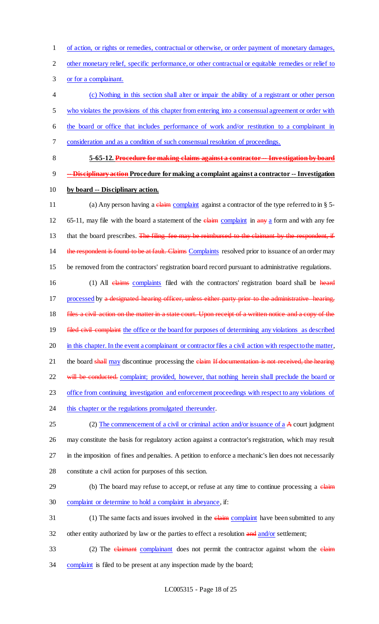1 of action, or rights or remedies, contractual or otherwise, or order payment of monetary damages,

2 other monetary relief, specific performance, or other contractual or equitable remedies or relief to

3 or for a complainant.

 (c) Nothing in this section shall alter or impair the ability of a registrant or other person who violates the provisions of this chapter from entering into a consensual agreement or order with the board or office that includes performance of work and/or restitution to a complainant in consideration and as a condition of such consensual resolution of proceedings.

8 **5-65-12. Procedure for making claims against a contractor -- Investigation by board**  9 **-- Disciplinary action Procedure for making a complaint against a contractor -- Investigation**  10 **by board -- Disciplinary action.**

11 (a) Any person having a claim complaint against a contractor of the type referred to in § 5-12 65-11, may file with the board a statement of the claim complaint in any a form and with any fee 13 that the board prescribes. The filing fee may be reimbursed to the claimant by the respondent, if 14 the respondent is found to be at fault. Claims Complaints resolved prior to issuance of an order may 15 be removed from the contractors' registration board record pursuant to administrative regulations.

16 (1) All claims complaints filed with the contractors' registration board shall be heard 17 processed by a designated hearing officer, unless either party prior to the administrative 18 files a civil action on the matter in a state court. Upon receipt of a written notice and a copy of the 19 filed civil complaint the office or the board for purposes of determining any violations as described 20 in this chapter. In the event a complainant or contractor files a civil action with respect to the matter, 21 the board shall may discontinue processing the elaim If documentation is not received, the hearing 22 will be conducted. complaint; provided, however, that nothing herein shall preclude the board or 23 office from continuing investigation and enforcement proceedings with respect to any violations of 24 this chapter or the regulations promulgated thereunder.

25 (2) The commencement of a civil or criminal action and/or issuance of a A court judgment may constitute the basis for regulatory action against a contractor's registration, which may result in the imposition of fines and penalties. A petition to enforce a mechanic's lien does not necessarily constitute a civil action for purposes of this section.

# 29 (b) The board may refuse to accept, or refuse at any time to continue processing a claim 30 complaint or determine to hold a complaint in abeyance, if:

- 31 (1) The same facts and issues involved in the elaim complaint have been submitted to any
- 32 other entity authorized by law or the parties to effect a resolution and and/or settlement;
- 33 (2) The *claimant* complainant does not permit the contractor against whom the *claim* 34 complaint is filed to be present at any inspection made by the board;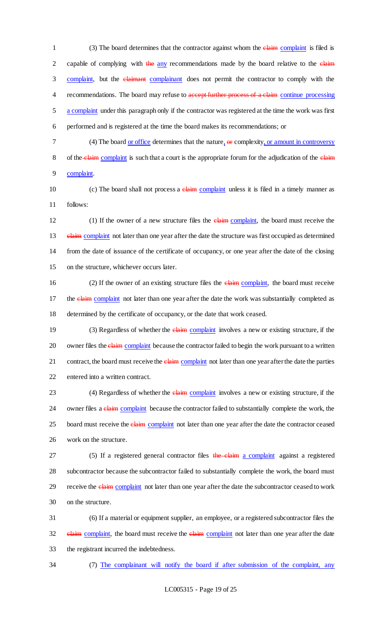1 (3) The board determines that the contractor against whom the *elaim* complaint is filed is 2 capable of complying with the any recommendations made by the board relative to the claim 3 complaint, but the *elaimant* complainant does not permit the contractor to comply with the 4 recommendations. The board may refuse to accept further process of a claim continue processing 5 a complaint under this paragraph only if the contractor was registered at the time the work was first 6 performed and is registered at the time the board makes its recommendations; or

7 (4) The board or office determines that the nature,  $\theta$  complexity, or amount in controversy 8 of the claim complaint is such that a court is the appropriate forum for the adjudication of the claim 9 complaint.

10 (c) The board shall not process a claim complaint unless it is filed in a timely manner as 11 follows:

12 (1) If the owner of a new structure files the claim complaint, the board must receive the 13 elaim complaint not later than one year after the date the structure was first occupied as determined 14 from the date of issuance of the certificate of occupancy, or one year after the date of the closing 15 on the structure, whichever occurs later.

16 (2) If the owner of an existing structure files the elaim complaint, the board must receive 17 the claim complaint not later than one year after the date the work was substantially completed as 18 determined by the certificate of occupancy, or the date that work ceased.

19 (3) Regardless of whether the **claim** complaint involves a new or existing structure, if the 20 owner files the *claim* complaint because the contractor failed to begin the work pursuant to a written 21 contract, the board must receive the **claim** complaint not later than one year after the date the parties 22 entered into a written contract.

23 (4) Regardless of whether the *claim complaint involves a new or existing structure*, if the 24 owner files a claim complaint because the contractor failed to substantially complete the work, the 25 board must receive the *elaim* complaint not later than one year after the date the contractor ceased 26 work on the structure.

27 (5) If a registered general contractor files the claim a complaint against a registered 28 subcontractor because the subcontractor failed to substantially complete the work, the board must 29 receive the claim complaint not later than one year after the date the subcontractor ceased to work 30 on the structure.

31 (6) If a material or equipment supplier, an employee, or a registered subcontractor files the 32 elaim complaint, the board must receive the elaim complaint not later than one year after the date 33 the registrant incurred the indebtedness.

34 (7) The complainant will notify the board if after submission of the complaint, any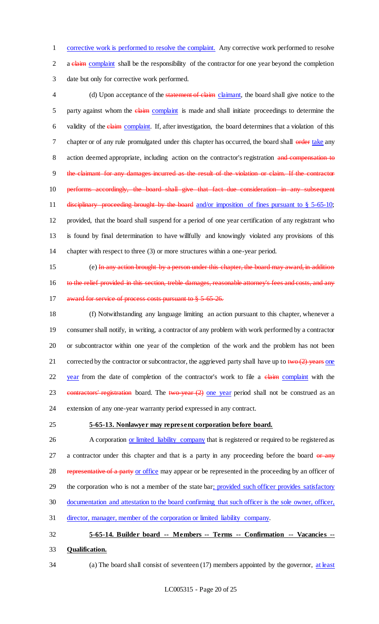1 corrective work is performed to resolve the complaint. Any corrective work performed to resolve 2 a claim complaint shall be the responsibility of the contractor for one year beyond the completion 3 date but only for corrective work performed.

4 (d) Upon acceptance of the statement of claim claimant, the board shall give notice to the 5 party against whom the *elaim* complaint is made and shall initiate proceedings to determine the 6 validity of the *claim* complaint. If, after investigation, the board determines that a violation of this 7 chapter or of any rule promulgated under this chapter has occurred, the board shall order take any 8 action deemed appropriate, including action on the contractor's registration and compensation to 9 the claimant for any damages incurred as the result of the violation or claim. If the contractor 10 performs accordingly, the board shall give that fact due consideration in any subsequent 11 disciplinary proceeding brought by the board and/or imposition of fines pursuant to § 5-65-10; 12 provided, that the board shall suspend for a period of one year certification of any registrant who 13 is found by final determination to have willfully and knowingly violated any provisions of this 14 chapter with respect to three (3) or more structures within a one-year period.

15 (e) In any action brought by a person under this chapter, the board may award, in addition 16 to the relief provided in this section, treble damages, reasonable attorney's fees and costs, and any 17 award for service of process costs pursuant to § 5-65-26.

18 (f) Notwithstanding any language limiting an action pursuant to this chapter, whenever a 19 consumer shall notify, in writing, a contractor of any problem with work performed by a contractor 20 or subcontractor within one year of the completion of the work and the problem has not been 21 corrected by the contractor or subcontractor, the aggrieved party shall have up to  $t_{\text{WO}}(2)$  years one 22 year from the date of completion of the contractor's work to file a claim complaint with the 23 contractors' registration board. The two-year  $(2)$  one year period shall not be construed as an 24 extension of any one-year warranty period expressed in any contract.

#### 25 **5-65-13. Nonlawyer may represent corporation before board.**

26 A corporation or limited liability company that is registered or required to be registered as 27 a contractor under this chapter and that is a party in any proceeding before the board or any 28 representative of a party or office may appear or be represented in the proceeding by an officer of 29 the corporation who is not a member of the state bar; provided such officer provides satisfactory 30 documentation and attestation to the board confirming that such officer is the sole owner, officer, 31 director, manager, member of the corporation or limited liability company.

32 **5-65-14. Builder board -- Members -- Terms -- Confirmation -- Vacancies --**

- 33 **Qualification.**
- 

34 (a) The board shall consist of seventeen (17) members appointed by the governor, at least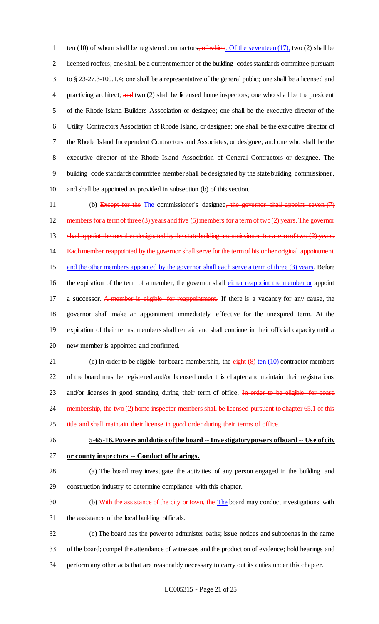1 ten (10) of whom shall be registered contractors, of which. Of the seventeen (17), two (2) shall be licensed roofers; one shall be a current member of the building codes standards committee pursuant to § 23-27.3-100.1.4; one shall be a representative of the general public; one shall be a licensed and 4 practicing architect; and two (2) shall be licensed home inspectors; one who shall be the president of the Rhode Island Builders Association or designee; one shall be the executive director of the Utility Contractors Association of Rhode Island, or designee; one shall be the executive director of the Rhode Island Independent Contractors and Associates, or designee; and one who shall be the executive director of the Rhode Island Association of General Contractors or designee. The building code standards committee member shall be designated by the state building commissioner, and shall be appointed as provided in subsection (b) of this section.

11 (b) Except for the The commissioner's designee, the governor shall appoint seven (7) 12 members for a term of three (3) years and five (5) members for a term of two (2) years. The governor 13 shall appoint the member designated by the state building commissioner for a term of two (2) years. 14 Each member reappointed by the governor shall serve for the term of his or her original appointment 15 and the other members appointed by the governor shall each serve a term of three (3) years. Before 16 the expiration of the term of a member, the governor shall either reappoint the member or appoint 17 a successor. A member is eligible for reappointment. If there is a vacancy for any cause, the 18 governor shall make an appointment immediately effective for the unexpired term. At the 19 expiration of their terms, members shall remain and shall continue in their official capacity until a 20 new member is appointed and confirmed.

21 (c) In order to be eligible for board membership, the eight (8) ten (10) contractor members 22 of the board must be registered and/or licensed under this chapter and maintain their registrations 23 and/or licenses in good standing during their term of office. In order to be eligible for board 24 membership, the two (2) home inspector members shall be licensed pursuant to chapter 65.1 of this 25 title and shall maintain their license in good order during their terms of office.

## 26 **5-65-16. Powers and duties of the board -- Investigatory powers of board -- Use of city**

- 27 **or county inspectors -- Conduct of hearings.**
- 28 (a) The board may investigate the activities of any person engaged in the building and 29 construction industry to determine compliance with this chapter.
- 30 (b) With the assistance of the city or town, the The board may conduct investigations with
- 31 the assistance of the local building officials.
- 32 (c) The board has the power to administer oaths; issue notices and subpoenas in the name 33 of the board; compel the attendance of witnesses and the production of evidence; hold hearings and 34 perform any other acts that are reasonably necessary to carry out its duties under this chapter.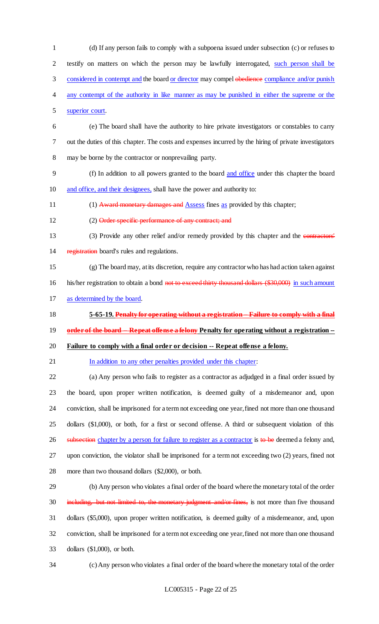(d) If any person fails to comply with a subpoena issued under subsection (c) or refuses to testify on matters on which the person may be lawfully interrogated, such person shall be 3 considered in contempt and the board or director may compel obedience compliance and/or punish any contempt of the authority in like manner as may be punished in either the supreme or the superior court. (e) The board shall have the authority to hire private investigators or constables to carry out the duties of this chapter. The costs and expenses incurred by the hiring of private investigators may be borne by the contractor or nonprevailing party. (f) In addition to all powers granted to the board and office under this chapter the board and office, and their designees, shall have the power and authority to: 11 (1) Award monetary damages and Assess fines as provided by this chapter; 12 (2) Order specific performance of any contract; and (3) Provide any other relief and/or remedy provided by this chapter and the contractors' 14 registration board's rules and regulations. (g) The board may, at its discretion, require any contractor who has had action taken against 16 his/her registration to obtain a bond not to exceed thirty thousand dollars (\$30,000) in such amount as determined by the board. **5-65-19. Penalty for operating without a registration – Failure to comply with a final order of the board – Repeat offense a felony Penalty for operating without a registration -- Failure to comply with a final order or decision -- Repeat offense a felony.** 21 In addition to any other penalties provided under this chapter: (a) Any person who fails to register as a contractor as adjudged in a final order issued by the board, upon proper written notification, is deemed guilty of a misdemeanor and, upon conviction, shall be imprisoned for a term not exceeding one year, fined not more than one thousand dollars (\$1,000), or both, for a first or second offense. A third or subsequent violation of this 26 subsection chapter by a person for failure to register as a contractor is to be deemed a felony and, upon conviction, the violator shall be imprisoned for a term not exceeding two (2) years, fined not more than two thousand dollars (\$2,000), or both. (b) Any person who violates a final order of the board where the monetary total of the order 30 including, but not limited to, the monetary judgment and/or fines, is not more than five thousand dollars (\$5,000), upon proper written notification, is deemed guilty of a misdemeanor, and, upon conviction, shall be imprisoned for a term not exceeding one year, fined not more than one thousand dollars (\$1,000), or both.

(c) Any person who violates a final order of the board where the monetary total of the order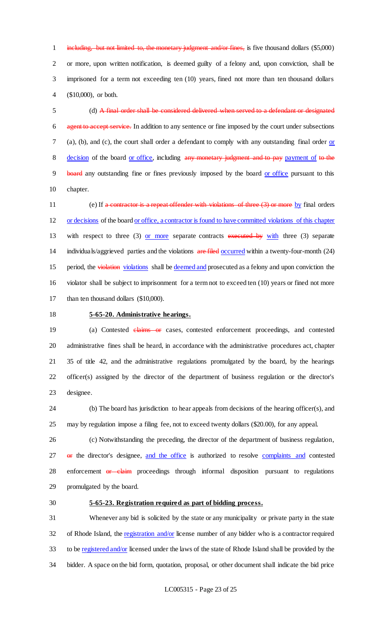1 including, but not limited to, the monetary judgment and/or fines, is five thousand dollars (\$5,000) or more, upon written notification, is deemed guilty of a felony and, upon conviction, shall be imprisoned for a term not exceeding ten (10) years, fined not more than ten thousand dollars (\$10,000), or both.

 (d) A final order shall be considered delivered when served to a defendant or designated agent to accept service. In addition to any sentence or fine imposed by the court under subsections (a), (b), and (c), the court shall order a defendant to comply with any outstanding final order or 8 decision of the board or office, including any monetary judgment and to pay payment of to the 9 board any outstanding fine or fines previously imposed by the board or office pursuant to this chapter.

11 (e) If a contractor is a repeat offender with violations of three (3) or more by final orders or decisions of the board or office, a contractor is found to have committed violations of this chapter 13 with respect to three (3) or more separate contracts executed by with three (3) separate 14 individuals/aggrieved parties and the violations are filed occurred within a twenty-four-month (24) 15 period, the violation violations shall be deemed and prosecuted as a felony and upon conviction the violator shall be subject to imprisonment for a term not to exceed ten (10) years or fined not more 17 than ten thousand dollars (\$10,000).

#### **5-65-20. Administrative hearings.**

19 (a) Contested claims or cases, contested enforcement proceedings, and contested administrative fines shall be heard, in accordance with the administrative procedures act, chapter 35 of title 42, and the administrative regulations promulgated by the board, by the hearings officer(s) assigned by the director of the department of business regulation or the director's designee.

 (b) The board has jurisdiction to hear appeals from decisions of the hearing officer(s), and may by regulation impose a filing fee, not to exceed twenty dollars (\$20.00), for any appeal.

 (c) Notwithstanding the preceding, the director of the department of business regulation, 27 or the director's designee, and the office is authorized to resolve complaints and contested 28 enforcement or claim proceedings through informal disposition pursuant to regulations promulgated by the board.

#### **5-65-23. Registration required as part of bidding process.**

 Whenever any bid is solicited by the state or any municipality or private party in the state 32 of Rhode Island, the registration and/or license number of any bidder who is a contractor required to be registered and/or licensed under the laws of the state of Rhode Island shall be provided by the bidder. A space on the bid form, quotation, proposal, or other document shall indicate the bid price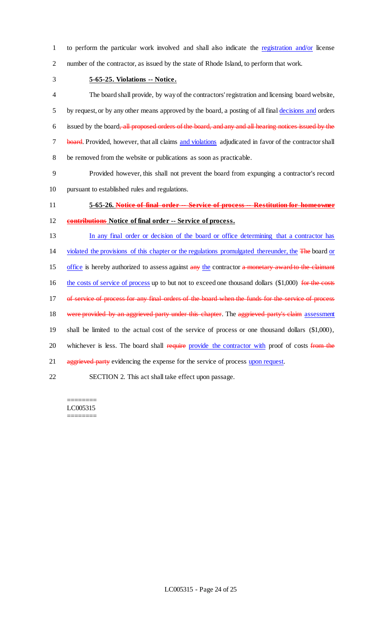1 to perform the particular work involved and shall also indicate the registration and/or license 2 number of the contractor, as issued by the state of Rhode Island, to perform that work.

3 **5-65-25. Violations -- Notice.**

4 The board shall provide, by way of the contractors' registration and licensing board website, 5 by request, or by any other means approved by the board, a posting of all final decisions and orders 6 issued by the board, all proposed orders of the board, and any and all hearing notices issued by the 7 board. Provided, however, that all claims and violations adjudicated in favor of the contractor shall 8 be removed from the website or publications as soon as practicable.

9 Provided however, this shall not prevent the board from expunging a contractor's record 10 pursuant to established rules and regulations.

11 **5-65-26. Notice of final order -- Service of process -- Restitution for homeowner** 

12 **contributions Notice of final order -- Service of process.**

13 In any final order or decision of the board or office determining that a contractor has

14 violated the provisions of this chapter or the regulations promulgated thereunder, the The board or

15 office is hereby authorized to assess against any the contractor a monetary award to the claimant

16 the costs of service of process up to but not to exceed one thousand dollars (\$1,000) for the costs

17 of service of process for any final orders of the board when the funds for the service of process

18 were provided by an aggrieved party under this chapter. The aggrieved party's claim assessment

19 shall be limited to the actual cost of the service of process or one thousand dollars (\$1,000),

20 whichever is less. The board shall require provide the contractor with proof of costs from the

21 aggrieved party evidencing the expense for the service of process upon request.

22 SECTION 2. This act shall take effect upon passage.

#### ======== LC005315

========